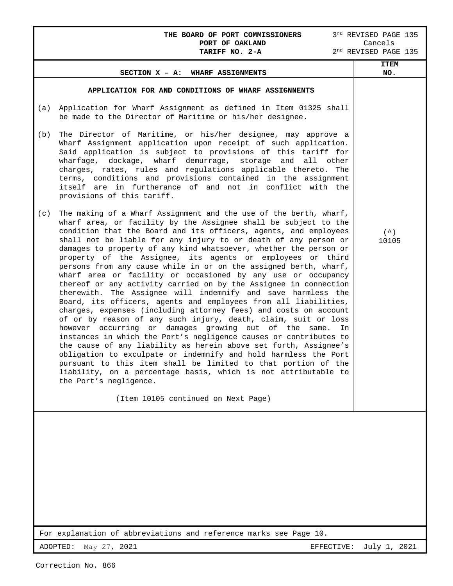### **THE BOARD OF PORT COMMISSIONERS** 3<sup>rd</sup> REVISED PAGE 135<br>**PORT OF OAKLAND** Cancels **PORT OF OAKLAND** Cancels

| TARIFF NO. 2-A<br>2 <sup>nd</sup> REVISED PAGE 135                |                                                                                                                                                                                                                                                                                                                                                                                                                                                                                                                                                                                                                                                                                                                                                                                                                                                                                                                                                                                                                                                                                                                                                                                                                                                                                                                                                                                                                                                                                                                                                                                                                                                                                                                                                                                                                                                                                                                                                                                                                                                                       |                       |  |  |  |  |
|-------------------------------------------------------------------|-----------------------------------------------------------------------------------------------------------------------------------------------------------------------------------------------------------------------------------------------------------------------------------------------------------------------------------------------------------------------------------------------------------------------------------------------------------------------------------------------------------------------------------------------------------------------------------------------------------------------------------------------------------------------------------------------------------------------------------------------------------------------------------------------------------------------------------------------------------------------------------------------------------------------------------------------------------------------------------------------------------------------------------------------------------------------------------------------------------------------------------------------------------------------------------------------------------------------------------------------------------------------------------------------------------------------------------------------------------------------------------------------------------------------------------------------------------------------------------------------------------------------------------------------------------------------------------------------------------------------------------------------------------------------------------------------------------------------------------------------------------------------------------------------------------------------------------------------------------------------------------------------------------------------------------------------------------------------------------------------------------------------------------------------------------------------|-----------------------|--|--|--|--|
|                                                                   | SECTION X - A: WHARF ASSIGNMENTS                                                                                                                                                                                                                                                                                                                                                                                                                                                                                                                                                                                                                                                                                                                                                                                                                                                                                                                                                                                                                                                                                                                                                                                                                                                                                                                                                                                                                                                                                                                                                                                                                                                                                                                                                                                                                                                                                                                                                                                                                                      | <b>ITEM</b><br>NO.    |  |  |  |  |
| (a)<br>(b)<br>(c)                                                 | APPLICATION FOR AND CONDITIONS OF WHARF ASSIGNNENTS<br>Application for Wharf Assignment as defined in Item 01325 shall<br>be made to the Director of Maritime or his/her designee.<br>The Director of Maritime, or his/her designee, may approve a<br>Wharf Assignment application upon receipt of such application.<br>Said application is subject to provisions of this tariff for<br>wharfage, dockage, wharf demurrage, storage and<br>all<br>other<br>charges, rates, rules and regulations applicable thereto. The<br>terms, conditions and provisions contained in the assignment<br>itself are in furtherance of and not in conflict with the<br>provisions of this tariff.<br>The making of a Wharf Assignment and the use of the berth, wharf,<br>wharf area, or facility by the Assignee shall be subject to the<br>condition that the Board and its officers, agents, and employees<br>shall not be liable for any injury to or death of any person or<br>damages to property of any kind whatsoever, whether the person or<br>property of the Assignee, its agents or employees or third<br>persons from any cause while in or on the assigned berth, wharf,<br>wharf area or facility or occasioned by any use or occupancy<br>thereof or any activity carried on by the Assignee in connection<br>therewith. The Assignee will indemnify and save harmless the<br>Board, its officers, agents and employees from all liabilities,<br>charges, expenses (including attorney fees) and costs on account<br>of or by reason of any such injury, death, claim, suit or loss<br>however occurring or damages growing out of the same.<br>In<br>instances in which the Port's negligence causes or contributes to<br>the cause of any liability as herein above set forth, Assignee's<br>obligation to exculpate or indemnify and hold harmless the Port<br>pursuant to this item shall be limited to that portion of the<br>liability, on a percentage basis, which is not attributable to<br>the Port's negligence.<br>(Item 10105 continued on Next Page) | $( \wedge )$<br>10105 |  |  |  |  |
| For explanation of abbreviations and reference marks see Page 10. |                                                                                                                                                                                                                                                                                                                                                                                                                                                                                                                                                                                                                                                                                                                                                                                                                                                                                                                                                                                                                                                                                                                                                                                                                                                                                                                                                                                                                                                                                                                                                                                                                                                                                                                                                                                                                                                                                                                                                                                                                                                                       |                       |  |  |  |  |
| ADOPTED:                                                          | May 27, 2021<br>EFFECTIVE:                                                                                                                                                                                                                                                                                                                                                                                                                                                                                                                                                                                                                                                                                                                                                                                                                                                                                                                                                                                                                                                                                                                                                                                                                                                                                                                                                                                                                                                                                                                                                                                                                                                                                                                                                                                                                                                                                                                                                                                                                                            | July 1, 2021          |  |  |  |  |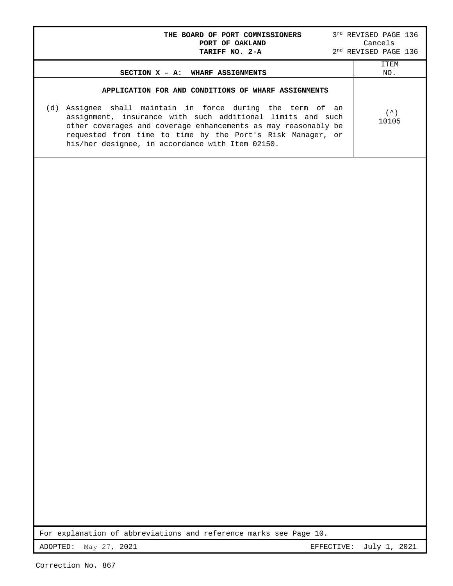| THE BOARD OF PORT COMMISSIONERS<br>PORT OF OAKLAND                                                                                                                                                                                                                                                                                                                  | $3^{\text{rd}}$ REVISED PAGE 136<br>Cancels  |
|---------------------------------------------------------------------------------------------------------------------------------------------------------------------------------------------------------------------------------------------------------------------------------------------------------------------------------------------------------------------|----------------------------------------------|
| TARIFF NO. 2-A                                                                                                                                                                                                                                                                                                                                                      | $2^{\rm nd}$ REVISED PAGE 136<br><b>ITEM</b> |
| SECTION X - A: WHARF ASSIGNMENTS                                                                                                                                                                                                                                                                                                                                    | NO.                                          |
| APPLICATION FOR AND CONDITIONS OF WHARF ASSIGNMENTS<br>(d) Assignee shall maintain in force during the term of an<br>assignment, insurance with such additional limits and such<br>other coverages and coverage enhancements as may reasonably be<br>requested from time to time by the Port's Risk Manager, or<br>his/her designee, in accordance with Item 02150. | $($ $\wedge$ $)$<br>10105                    |
|                                                                                                                                                                                                                                                                                                                                                                     |                                              |
| For explanation of abbreviations and reference marks see Page 10.                                                                                                                                                                                                                                                                                                   |                                              |
| ADOPTED:<br>May 27, 2021<br>EFFECTIVE:                                                                                                                                                                                                                                                                                                                              | July 1, 2021                                 |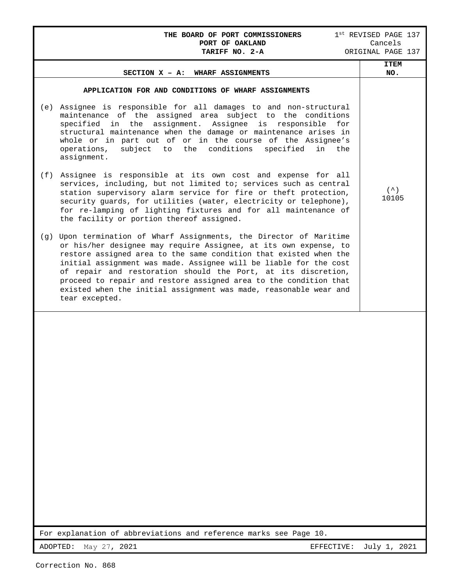# **THE BOARD OF PORT COMMISSIONERS** 1<sup>st</sup> REVISED PAGE 137<br>**PORT OF OAKLAND** Cancels **PORT OF OAKLAND**<br>TARIFF NO. 2-A ORIGINAL PAGE 137 **SECTION X – A: WHARF ASSIGNMENTS ITEM NO. APPLICATION FOR AND CONDITIONS OF WHARF ASSIGNMENTS**  (e) Assignee is responsible for all damages to and non-structural maintenance of the assigned area subject to the conditions specified in the assignment. Assignee is responsible for structural maintenance when the damage or maintenance arises in whole or in part out of or in the course of the Assignee's operations, subject to the conditions specified in the assignment. (f) Assignee is responsible at its own cost and expense for all services, including, but not limited to; services such as central station supervisory alarm service for fire or theft protection, security guards, for utilities (water, electricity or telephone), for re-lamping of lighting fixtures and for all maintenance of the facility or portion thereof assigned. (g) Upon termination of Wharf Assignments, the Director of Maritime or his/her designee may require Assignee, at its own expense, to restore assigned area to the same condition that existed when the initial assignment was made. Assignee will be liable for the cost of repair and restoration should the Port, at its discretion, proceed to repair and restore assigned area to the condition that existed when the initial assignment was made, reasonable wear and tear excepted.  $(^{\wedge})$ 10105

For explanation of abbreviations and reference marks see Page 10.

ADOPTED: May 27, 2021 EFFECTIVE: July 1, 2021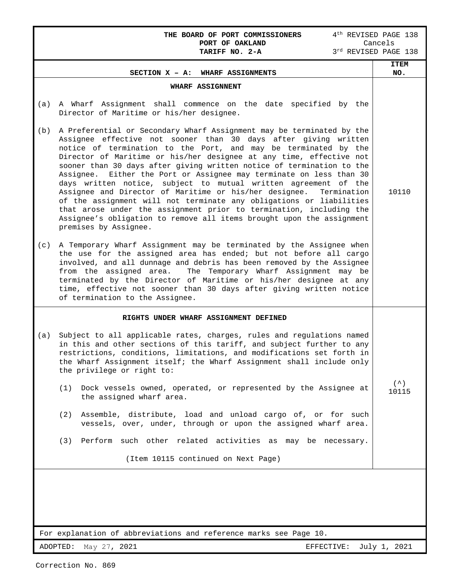|                                                        | THE BOARD OF PORT COMMISSIONERS<br>PORT OF OAKLAND                                                                                                                                                                                                                                                                                                                                                                                                                                                                                                                                                                                                                                                                                                                                                                             | 4 <sup>th</sup> REVISED PAGE 138<br>Cancels |  |  |  |  |
|--------------------------------------------------------|--------------------------------------------------------------------------------------------------------------------------------------------------------------------------------------------------------------------------------------------------------------------------------------------------------------------------------------------------------------------------------------------------------------------------------------------------------------------------------------------------------------------------------------------------------------------------------------------------------------------------------------------------------------------------------------------------------------------------------------------------------------------------------------------------------------------------------|---------------------------------------------|--|--|--|--|
|                                                        | TARIFF NO. 2-A                                                                                                                                                                                                                                                                                                                                                                                                                                                                                                                                                                                                                                                                                                                                                                                                                 | 3rd REVISED PAGE 138<br><b>ITEM</b>         |  |  |  |  |
|                                                        | SECTION X - A: WHARF ASSIGNMENTS                                                                                                                                                                                                                                                                                                                                                                                                                                                                                                                                                                                                                                                                                                                                                                                               | NO.                                         |  |  |  |  |
| (a)                                                    | WHARF ASSIGNNENT<br>A Wharf Assignment shall commence on the date specified by the<br>Director of Maritime or his/her designee.                                                                                                                                                                                                                                                                                                                                                                                                                                                                                                                                                                                                                                                                                                |                                             |  |  |  |  |
| (b)                                                    | A Preferential or Secondary Wharf Assignment may be terminated by the<br>Assignee effective not sooner than 30 days after giving written<br>notice of termination to the Port, and may be terminated by the<br>Director of Maritime or his/her designee at any time, effective not<br>sooner than 30 days after giving written notice of termination to the<br>Assignee. Either the Port or Assignee may terminate on less than 30<br>days written notice, subject to mutual written agreement of the<br>Assignee and Director of Maritime or his/her designee.<br>Termination<br>of the assignment will not terminate any obligations or liabilities<br>that arose under the assignment prior to termination, including the<br>Assignee's obligation to remove all items brought upon the assignment<br>premises by Assignee. | 10110                                       |  |  |  |  |
| (c)                                                    | A Temporary Wharf Assignment may be terminated by the Assignee when<br>the use for the assigned area has ended; but not before all cargo<br>involved, and all dunnage and debris has been removed by the Assignee<br>from the assigned area.<br>The Temporary Wharf Assignment may be<br>terminated by the Director of Maritime or his/her designee at any<br>time, effective not sooner than 30 days after giving written notice<br>of termination to the Assignee.                                                                                                                                                                                                                                                                                                                                                           |                                             |  |  |  |  |
|                                                        | RIGHTS UNDER WHARF ASSIGNMENT DEFINED                                                                                                                                                                                                                                                                                                                                                                                                                                                                                                                                                                                                                                                                                                                                                                                          |                                             |  |  |  |  |
| (a)                                                    | Subject to all applicable rates, charges, rules and regulations named<br>in this and other sections of this tariff, and subject further to any<br>restrictions, conditions, limitations, and modifications set forth in<br>the Wharf Assignment itself; the Wharf Assignment shall include only<br>the privilege or right to:                                                                                                                                                                                                                                                                                                                                                                                                                                                                                                  |                                             |  |  |  |  |
|                                                        | (1) Dock vessels owned, operated, or represented by the Assignee at<br>the assigned wharf area.                                                                                                                                                                                                                                                                                                                                                                                                                                                                                                                                                                                                                                                                                                                                | $( \wedge )$<br>10115                       |  |  |  |  |
|                                                        | (2) Assemble, distribute, load and unload cargo of, or for such<br>vessels, over, under, through or upon the assigned wharf area.                                                                                                                                                                                                                                                                                                                                                                                                                                                                                                                                                                                                                                                                                              |                                             |  |  |  |  |
|                                                        | (3) Perform such other related activities as may be necessary.                                                                                                                                                                                                                                                                                                                                                                                                                                                                                                                                                                                                                                                                                                                                                                 |                                             |  |  |  |  |
|                                                        | (Item 10115 continued on Next Page)                                                                                                                                                                                                                                                                                                                                                                                                                                                                                                                                                                                                                                                                                                                                                                                            |                                             |  |  |  |  |
|                                                        |                                                                                                                                                                                                                                                                                                                                                                                                                                                                                                                                                                                                                                                                                                                                                                                                                                |                                             |  |  |  |  |
|                                                        | For explanation of abbreviations and reference marks see Page 10.                                                                                                                                                                                                                                                                                                                                                                                                                                                                                                                                                                                                                                                                                                                                                              |                                             |  |  |  |  |
| ADOPTED:<br>May 27, 2021<br>July 1, 2021<br>EFFECTIVE: |                                                                                                                                                                                                                                                                                                                                                                                                                                                                                                                                                                                                                                                                                                                                                                                                                                |                                             |  |  |  |  |

Correction No. 869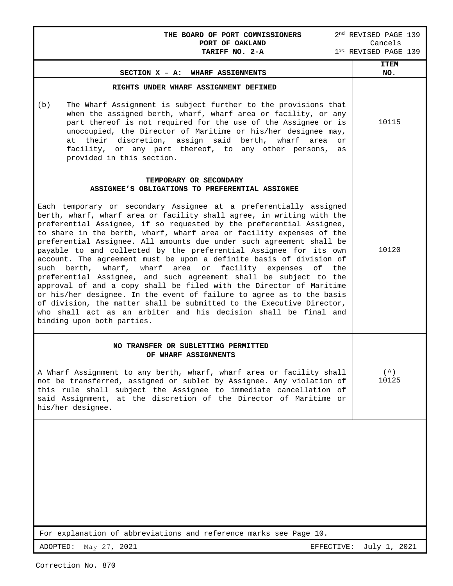| THE BOARD OF PORT COMMISSIONERS<br>PORT OF OAKLAND<br>TARIFF NO. 2-A                                                                                                                                                                                                                                                                                                                                                                                                                                                                                                                                                                                                                                                                                                                                                                                                                                                                                               | 2 <sup>nd</sup> REVISED PAGE 139<br>Cancels<br>1st REVISED PAGE 139 |
|--------------------------------------------------------------------------------------------------------------------------------------------------------------------------------------------------------------------------------------------------------------------------------------------------------------------------------------------------------------------------------------------------------------------------------------------------------------------------------------------------------------------------------------------------------------------------------------------------------------------------------------------------------------------------------------------------------------------------------------------------------------------------------------------------------------------------------------------------------------------------------------------------------------------------------------------------------------------|---------------------------------------------------------------------|
| SECTION X - A: WHARF ASSIGNMENTS                                                                                                                                                                                                                                                                                                                                                                                                                                                                                                                                                                                                                                                                                                                                                                                                                                                                                                                                   | <b>ITEM</b><br>NO.                                                  |
| RIGHTS UNDER WHARF ASSIGNMENT DEFINED<br>The Wharf Assignment is subject further to the provisions that<br>(b)<br>when the assigned berth, wharf, wharf area or facility, or any<br>part thereof is not required for the use of the Assignee or is<br>unoccupied, the Director of Maritime or his/her designee may,<br>their discretion, assign said berth, wharf<br>at<br>area<br>or<br>facility, or any part thereof, to any other persons,<br>as<br>provided in this section.                                                                                                                                                                                                                                                                                                                                                                                                                                                                                   | 10115                                                               |
| TEMPORARY OR SECONDARY<br>ASSIGNEE'S OBLIGATIONS TO PREFERENTIAL ASSIGNEE<br>Each temporary or secondary Assignee at a preferentially assigned<br>berth, wharf, wharf area or facility shall agree, in writing with the<br>preferential Assignee, if so requested by the preferential Assignee,<br>to share in the berth, wharf, wharf area or facility expenses of the<br>preferential Assignee. All amounts due under such agreement shall be<br>payable to and collected by the preferential Assignee for its own<br>account. The agreement must be upon a definite basis of division of<br>such berth,<br>wharf, wharf area<br>facility expenses<br>or<br>of the<br>preferential Assignee, and such agreement shall be subject to the<br>approval of and a copy shall be filed with the Director of Maritime<br>or his/her designee. In the event of failure to agree as to the basis<br>of division, the matter shall be submitted to the Executive Director, | 10120                                                               |
| who shall act as an arbiter and his decision shall be final and<br>binding upon both parties.<br>NO TRANSFER OR SUBLETTING PERMITTED<br>OF WHARF ASSIGNMENTS<br>A Wharf Assignment to any berth, wharf, wharf area or facility shall<br>not be transferred, assigned or sublet by Assignee. Any violation of<br>this rule shall subject the Assignee to immediate cancellation of<br>said Assignment, at the discretion of the Director of Maritime or<br>his/her designee.                                                                                                                                                                                                                                                                                                                                                                                                                                                                                        | (<br>10125                                                          |
| For explanation of abbreviations and reference marks see Page 10.                                                                                                                                                                                                                                                                                                                                                                                                                                                                                                                                                                                                                                                                                                                                                                                                                                                                                                  |                                                                     |
| ADOPTED:<br>May 27, 2021<br>EFFECTIVE:                                                                                                                                                                                                                                                                                                                                                                                                                                                                                                                                                                                                                                                                                                                                                                                                                                                                                                                             | July 1, 2021                                                        |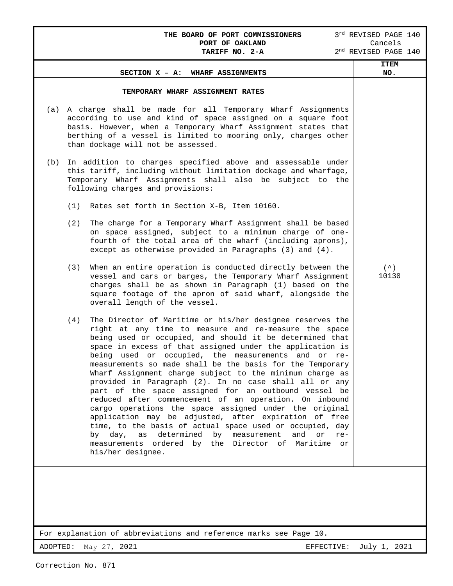| THE BOARD OF PORT COMMISSIONERS                                                                                                                                                                                                                                                                                                                                                                                                                                                                                                                                                                                                                                                                                                                                                                                                                                                                                                               | 3rd REVISED PAGE 140<br>Cancels |  |  |  |  |  |  |
|-----------------------------------------------------------------------------------------------------------------------------------------------------------------------------------------------------------------------------------------------------------------------------------------------------------------------------------------------------------------------------------------------------------------------------------------------------------------------------------------------------------------------------------------------------------------------------------------------------------------------------------------------------------------------------------------------------------------------------------------------------------------------------------------------------------------------------------------------------------------------------------------------------------------------------------------------|---------------------------------|--|--|--|--|--|--|
| PORT OF OAKLAND<br>TARIFF NO. 2-A                                                                                                                                                                                                                                                                                                                                                                                                                                                                                                                                                                                                                                                                                                                                                                                                                                                                                                             | $2nd$ REVISED PAGE 140          |  |  |  |  |  |  |
| SECTION X - A: WHARF ASSIGNMENTS                                                                                                                                                                                                                                                                                                                                                                                                                                                                                                                                                                                                                                                                                                                                                                                                                                                                                                              | <b>ITEM</b><br>NO.              |  |  |  |  |  |  |
| TEMPORARY WHARF ASSIGNMENT RATES                                                                                                                                                                                                                                                                                                                                                                                                                                                                                                                                                                                                                                                                                                                                                                                                                                                                                                              |                                 |  |  |  |  |  |  |
| A charge shall be made for all Temporary Wharf Assignments<br>(a)<br>according to use and kind of space assigned on a square foot<br>basis. However, when a Temporary Wharf Assignment states that<br>berthing of a vessel is limited to mooring only, charges other<br>than dockage will not be assessed.                                                                                                                                                                                                                                                                                                                                                                                                                                                                                                                                                                                                                                    |                                 |  |  |  |  |  |  |
| In addition to charges specified above and assessable under<br>(b)<br>this tariff, including without limitation dockage and wharfage,<br>Temporary Wharf Assignments shall also be subject to the<br>following charges and provisions:                                                                                                                                                                                                                                                                                                                                                                                                                                                                                                                                                                                                                                                                                                        |                                 |  |  |  |  |  |  |
| (1)<br>Rates set forth in Section X-B, Item 10160.                                                                                                                                                                                                                                                                                                                                                                                                                                                                                                                                                                                                                                                                                                                                                                                                                                                                                            |                                 |  |  |  |  |  |  |
| (2)<br>The charge for a Temporary Wharf Assignment shall be based<br>on space assigned, subject to a minimum charge of one-<br>fourth of the total area of the wharf (including aprons),<br>except as otherwise provided in Paragraphs (3) and (4).                                                                                                                                                                                                                                                                                                                                                                                                                                                                                                                                                                                                                                                                                           |                                 |  |  |  |  |  |  |
| When an entire operation is conducted directly between the<br>(3)<br>vessel and cars or barges, the Temporary Wharf Assignment<br>charges shall be as shown in Paragraph (1) based on the<br>square footage of the apron of said wharf, alongside the<br>overall length of the vessel.                                                                                                                                                                                                                                                                                                                                                                                                                                                                                                                                                                                                                                                        | $($ $\hat{\ })$<br>10130        |  |  |  |  |  |  |
| The Director of Maritime or his/her designee reserves the<br>(4)<br>right at any time to measure and re-measure the space<br>being used or occupied, and should it be determined that<br>space in excess of that assigned under the application is<br>being used or occupied, the measurements and or<br>re-<br>measurements so made shall be the basis for the Temporary<br>Wharf Assignment charge subject to the minimum charge as<br>provided in Paragraph (2). In no case shall all or any<br>part of the space assigned for an outbound vessel be<br>reduced after commencement of an operation. On inbound<br>cargo operations the space assigned under the original<br>application may be adjusted, after expiration of free<br>time, to the basis of actual space used or occupied, day<br>by day, as determined by measurement<br>and<br>or<br>$re-$<br>measurements ordered by the Director of Maritime<br>or<br>his/her designee. |                                 |  |  |  |  |  |  |
| For explanation of abbreviations and reference marks see Page 10.                                                                                                                                                                                                                                                                                                                                                                                                                                                                                                                                                                                                                                                                                                                                                                                                                                                                             |                                 |  |  |  |  |  |  |

For explanation of abbreviations and reference marks see Page 10.

ADOPTED: May 27, 2021 **EFFECTIVE:** July 1, 2021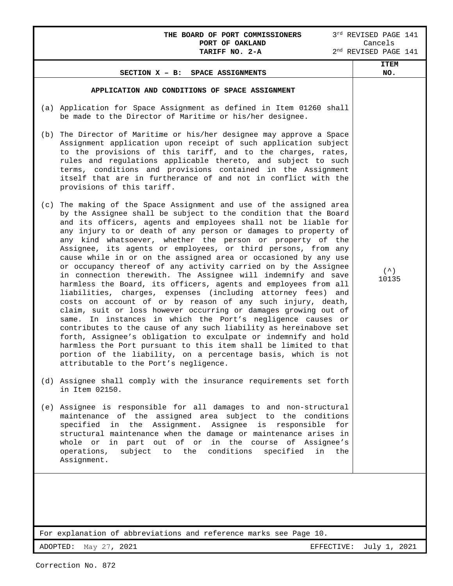## **THE BOARD OF PORT COMMISSIONERS** 3<sup>rd</sup> REVISED PAGE 141 **PORT OF OAKLAND** Cancels **PORT OF OAKLAND** Cancels

I

|     | SECTION X - B: SPACE ASSIGNMENTS                                                                                                                                                                                                                                                                                                                                                                                                                                                                                                                                                                                                                                                                                                                                                                                                                                                                                                                                                                                                                                                                                                                                                                                                                                            | <b>ITEM</b><br>NO.        |
|-----|-----------------------------------------------------------------------------------------------------------------------------------------------------------------------------------------------------------------------------------------------------------------------------------------------------------------------------------------------------------------------------------------------------------------------------------------------------------------------------------------------------------------------------------------------------------------------------------------------------------------------------------------------------------------------------------------------------------------------------------------------------------------------------------------------------------------------------------------------------------------------------------------------------------------------------------------------------------------------------------------------------------------------------------------------------------------------------------------------------------------------------------------------------------------------------------------------------------------------------------------------------------------------------|---------------------------|
|     | APPLICATION AND CONDITIONS OF SPACE ASSIGNMENT                                                                                                                                                                                                                                                                                                                                                                                                                                                                                                                                                                                                                                                                                                                                                                                                                                                                                                                                                                                                                                                                                                                                                                                                                              |                           |
|     | (a) Application for Space Assignment as defined in Item 01260 shall<br>be made to the Director of Maritime or his/her designee.                                                                                                                                                                                                                                                                                                                                                                                                                                                                                                                                                                                                                                                                                                                                                                                                                                                                                                                                                                                                                                                                                                                                             |                           |
|     | (b) The Director of Maritime or his/her designee may approve a Space<br>Assignment application upon receipt of such application subject<br>to the provisions of this tariff, and to the charges, rates,<br>rules and regulations applicable thereto, and subject to such<br>terms, conditions and provisions contained in the Assignment<br>itself that are in furtherance of and not in conflict with the<br>provisions of this tariff.                                                                                                                                                                                                                                                                                                                                                                                                                                                                                                                                                                                                                                                                                                                                                                                                                                    |                           |
| (c) | The making of the Space Assignment and use of the assigned area<br>by the Assignee shall be subject to the condition that the Board<br>and its officers, agents and employees shall not be liable for<br>any injury to or death of any person or damages to property of<br>any kind whatsoever, whether the person or property of the<br>Assignee, its agents or employees, or third persons, from any<br>cause while in or on the assigned area or occasioned by any use<br>or occupancy thereof of any activity carried on by the Assignee<br>in connection therewith. The Assignee will indemnify and save<br>harmless the Board, its officers, agents and employees from all<br>liabilities, charges, expenses (including attorney fees) and<br>costs on account of or by reason of any such injury, death,<br>claim, suit or loss however occurring or damages growing out of<br>In instances in which the Port's negligence causes or<br>same.<br>contributes to the cause of any such liability as hereinabove set<br>forth, Assignee's obligation to exculpate or indemnify and hold<br>harmless the Port pursuant to this item shall be limited to that<br>portion of the liability, on a percentage basis, which is not<br>attributable to the Port's negligence. | $($ $\wedge$ $)$<br>10135 |
|     | (d) Assignee shall comply with the insurance requirements set forth<br>in Item 02150.                                                                                                                                                                                                                                                                                                                                                                                                                                                                                                                                                                                                                                                                                                                                                                                                                                                                                                                                                                                                                                                                                                                                                                                       |                           |
|     | (e) Assignee is responsible for all damages to and non-structural<br>maintenance of the assigned area subject to the conditions<br>specified in the Assignment. Assignee is responsible<br>for<br>structural maintenance when the damage or maintenance arises in<br>whole or in part out of or in the course of Assignee's<br>subject to the<br>conditions<br>specified<br>operations,<br>in<br>the<br>Assignment.                                                                                                                                                                                                                                                                                                                                                                                                                                                                                                                                                                                                                                                                                                                                                                                                                                                         |                           |
|     |                                                                                                                                                                                                                                                                                                                                                                                                                                                                                                                                                                                                                                                                                                                                                                                                                                                                                                                                                                                                                                                                                                                                                                                                                                                                             |                           |
|     | For explanation of abbreviations and reference marks see Page 10.                                                                                                                                                                                                                                                                                                                                                                                                                                                                                                                                                                                                                                                                                                                                                                                                                                                                                                                                                                                                                                                                                                                                                                                                           |                           |

ADOPTED: May 27, 2021 **EFFECTIVE:** July 1, 2021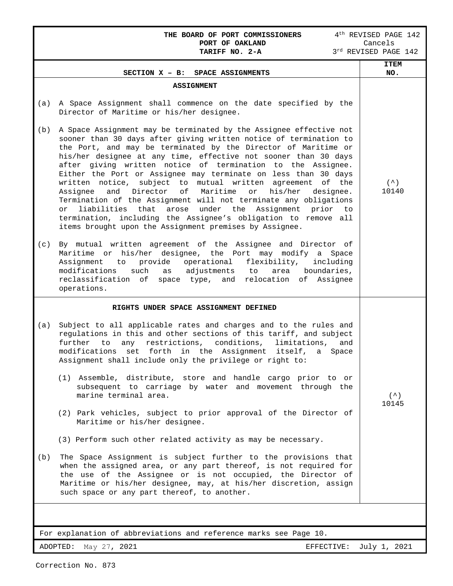|     | THE BOARD OF PORT COMMISSIONERS<br>PORT OF OAKLAND<br>TARIFF NO. 2-A                                                                                                                                                                                                                                                                                                                                                                                                                                                                                                                                                                                                                                                                                                                                                                     | 4 <sup>th</sup> REVISED PAGE 142<br>Cancels<br>3rd REVISED PAGE 142 |
|-----|------------------------------------------------------------------------------------------------------------------------------------------------------------------------------------------------------------------------------------------------------------------------------------------------------------------------------------------------------------------------------------------------------------------------------------------------------------------------------------------------------------------------------------------------------------------------------------------------------------------------------------------------------------------------------------------------------------------------------------------------------------------------------------------------------------------------------------------|---------------------------------------------------------------------|
|     |                                                                                                                                                                                                                                                                                                                                                                                                                                                                                                                                                                                                                                                                                                                                                                                                                                          | <b>ITEM</b>                                                         |
|     | SECTION X - B: SPACE ASSIGNMENTS                                                                                                                                                                                                                                                                                                                                                                                                                                                                                                                                                                                                                                                                                                                                                                                                         | NO.                                                                 |
| (a) | <b>ASSIGNMENT</b><br>A Space Assignment shall commence on the date specified by the<br>Director of Maritime or his/her designee.                                                                                                                                                                                                                                                                                                                                                                                                                                                                                                                                                                                                                                                                                                         |                                                                     |
| (b) | A Space Assignment may be terminated by the Assignee effective not<br>sooner than 30 days after giving written notice of termination to<br>the Port, and may be terminated by the Director of Maritime or<br>his/her designee at any time, effective not sooner than 30 days<br>after giving written notice of termination to the Assignee.<br>Either the Port or Assignee may terminate on less than 30 days<br>written notice, subject to mutual written agreement of<br>the<br>Director<br>Maritime<br>his/her<br>Assignee<br>and<br>of<br>or<br>designee.<br>Termination of the Assignment will not terminate any obligations<br>under the Assignment prior<br>liabilities that<br>arose<br>or<br>to to<br>termination, including the Assignee's obligation to remove all<br>items brought upon the Assignment premises by Assignee. | (<br>10140                                                          |
| (c) | By mutual written agreement of the Assignee and Director of<br>Maritime or his/her designee, the Port may modify a Space<br>Assignment to provide operational<br>flexibility,<br>including<br>modifications<br>such<br>adjustments<br>boundaries,<br>as<br>to<br>area<br>reclassification of space type, and<br>relocation of Assignee<br>operations.                                                                                                                                                                                                                                                                                                                                                                                                                                                                                    |                                                                     |
|     | RIGHTS UNDER SPACE ASSIGNMENT DEFINED                                                                                                                                                                                                                                                                                                                                                                                                                                                                                                                                                                                                                                                                                                                                                                                                    |                                                                     |
| (a) | Subject to all applicable rates and charges and to the rules and<br>regulations in this and other sections of this tariff, and subject<br>further<br>any<br>restrictions, conditions,<br>to<br>limitations,<br>and<br>modifications<br>forth in the Assignment<br>set<br>itself,<br>Space<br>a<br>Assignment shall include only the privilege or right to:                                                                                                                                                                                                                                                                                                                                                                                                                                                                               |                                                                     |
|     | (1) Assemble, distribute, store and handle cargo prior to or<br>subsequent to carriage by water and movement through the<br>marine terminal area.                                                                                                                                                                                                                                                                                                                                                                                                                                                                                                                                                                                                                                                                                        | (<br>10145                                                          |
|     | (2) Park vehicles, subject to prior approval of the Director of<br>Maritime or his/her designee.                                                                                                                                                                                                                                                                                                                                                                                                                                                                                                                                                                                                                                                                                                                                         |                                                                     |
|     | (3) Perform such other related activity as may be necessary.                                                                                                                                                                                                                                                                                                                                                                                                                                                                                                                                                                                                                                                                                                                                                                             |                                                                     |
| (b) | The Space Assignment is subject further to the provisions that<br>when the assigned area, or any part thereof, is not required for<br>the use of the Assignee or is not occupied, the Director of<br>Maritime or his/her designee, may, at his/her discretion, assign<br>such space or any part thereof, to another.                                                                                                                                                                                                                                                                                                                                                                                                                                                                                                                     |                                                                     |
|     |                                                                                                                                                                                                                                                                                                                                                                                                                                                                                                                                                                                                                                                                                                                                                                                                                                          |                                                                     |

For explanation of abbreviations and reference marks see Page 10.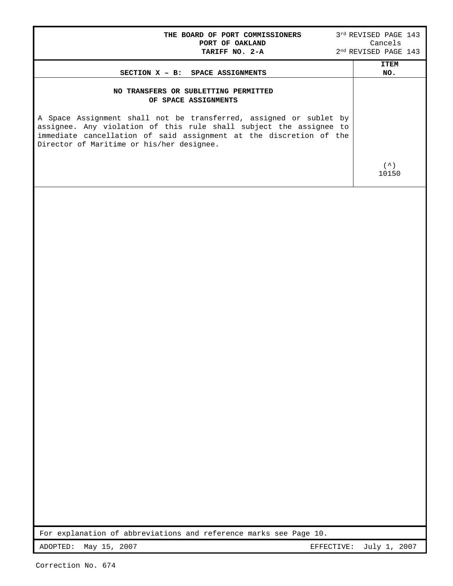| THE BOARD OF PORT COMMISSIONERS<br>PORT OF OAKLAND<br>TARIFF NO. 2-A                                                                                                                  | 3rd REVISED PAGE 143<br>Cancels<br>2 <sup>nd</sup> REVISED PAGE 143 |  |
|---------------------------------------------------------------------------------------------------------------------------------------------------------------------------------------|---------------------------------------------------------------------|--|
| SECTION X - B: SPACE ASSIGNMENTS                                                                                                                                                      | <b>ITEM</b><br>NO.                                                  |  |
| NO TRANSFERS OR SUBLETTING PERMITTED<br>OF SPACE ASSIGNMENTS<br>A Space Assignment shall not be transferred, assigned or sublet by                                                    |                                                                     |  |
| assignee. Any violation of this rule shall subject the assignee to<br>immediate cancellation of said assignment at the discretion of the<br>Director of Maritime or his/her designee. | $($ $\hat{\ })$                                                     |  |
|                                                                                                                                                                                       | 10150                                                               |  |
|                                                                                                                                                                                       |                                                                     |  |
| For explanation of abbreviations and reference marks see Page 10.                                                                                                                     |                                                                     |  |
| ADOPTED:<br>May 15, 2007<br>EFFECTIVE:                                                                                                                                                | July 1, 2007                                                        |  |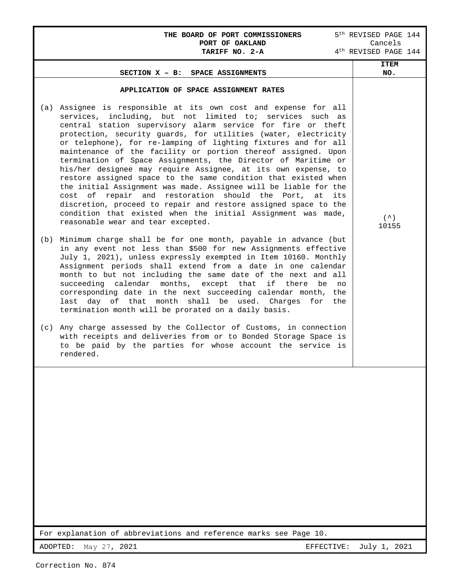#### THE BOARD OF PORT COMMISSIONERS 5<sup>th</sup> REVISED PAGE 144<br>PORT OF OAKLAND **Cancels** PORT OF OAKLAND Cancels

| TARIFF NO. 2-A                                                                                                                                                                                                                                                                                                                                                                                                                                                                                                                                                                                                                                                                                                                                                                                                                                                                                                 | 4 <sup>th</sup> REVISED PAGE 144 |
|----------------------------------------------------------------------------------------------------------------------------------------------------------------------------------------------------------------------------------------------------------------------------------------------------------------------------------------------------------------------------------------------------------------------------------------------------------------------------------------------------------------------------------------------------------------------------------------------------------------------------------------------------------------------------------------------------------------------------------------------------------------------------------------------------------------------------------------------------------------------------------------------------------------|----------------------------------|
| SECTION X - B: SPACE ASSIGNMENTS                                                                                                                                                                                                                                                                                                                                                                                                                                                                                                                                                                                                                                                                                                                                                                                                                                                                               | <b>ITEM</b><br>NO.               |
| APPLICATION OF SPACE ASSIGNMENT RATES                                                                                                                                                                                                                                                                                                                                                                                                                                                                                                                                                                                                                                                                                                                                                                                                                                                                          |                                  |
| Assignee is responsible at its own cost and expense for all<br>(a)<br>services, including, but not limited to; services such as<br>central station supervisory alarm service for fire or theft<br>protection, security guards, for utilities (water, electricity<br>or telephone), for re-lamping of lighting fixtures and for all<br>maintenance of the facility or portion thereof assigned. Upon<br>termination of Space Assignments, the Director of Maritime or<br>his/her designee may require Assignee, at its own expense, to<br>restore assigned space to the same condition that existed when<br>the initial Assignment was made. Assignee will be liable for the<br>cost of repair and restoration should the Port, at its<br>discretion, proceed to repair and restore assigned space to the<br>condition that existed when the initial Assignment was made,<br>reasonable wear and tear excepted. | $($ $\hat{\ })$<br>10155         |
| Minimum charge shall be for one month, payable in advance (but<br>(b)<br>in any event not less than \$500 for new Assignments effective<br>July 1, 2021), unless expressly exempted in Item 10160. Monthly<br>Assignment periods shall extend from a date in one calendar<br>month to but not including the same date of the next and all<br>succeeding calendar months, except that if there be<br>no<br>corresponding date in the next succeeding calendar month, the<br>last day of that month shall be used. Charges for the<br>termination month will be prorated on a daily basis.                                                                                                                                                                                                                                                                                                                       |                                  |
| Any charge assessed by the Collector of Customs, in connection<br>(c)<br>with receipts and deliveries from or to Bonded Storage Space is<br>to be paid by the parties for whose account the service is<br>rendered.                                                                                                                                                                                                                                                                                                                                                                                                                                                                                                                                                                                                                                                                                            |                                  |
|                                                                                                                                                                                                                                                                                                                                                                                                                                                                                                                                                                                                                                                                                                                                                                                                                                                                                                                |                                  |
| For explanation of abbreviations and reference marks see Page 10.                                                                                                                                                                                                                                                                                                                                                                                                                                                                                                                                                                                                                                                                                                                                                                                                                                              |                                  |
| ADOPTED:<br>May 27, 2021<br>EFFECTIVE:                                                                                                                                                                                                                                                                                                                                                                                                                                                                                                                                                                                                                                                                                                                                                                                                                                                                         | July 1, 2021                     |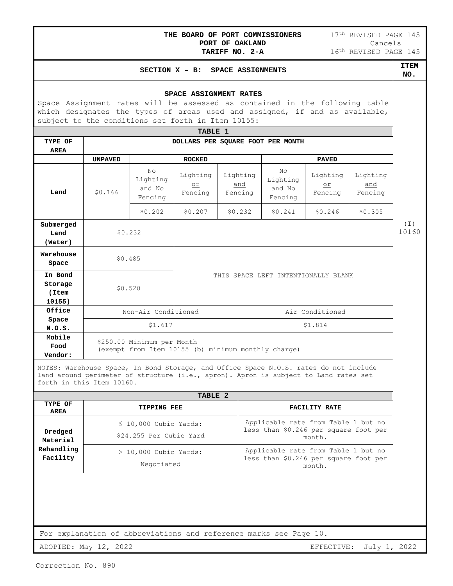|  |  |  | THE BOARD OF PORT COMMISSIONERS |  |
|--|--|--|---------------------------------|--|
|  |  |  | PORT OF OAKLAND                 |  |
|  |  |  | ∆ב-⊘ הוא התדופרת                |  |

# **SECTION X – B:** SPACE ASSIGNMENTS **ITEM**

#### **NO.**

#### **SPACE ASSIGNMENT RATES**

Space Assignment rates will be assessed as contained in the following table which designates the types of areas used and assigned, if and as available, subject to the conditions set forth in Item 10155:

| TABLE 1        |                                                     |                                     |                                  |                            |  |                                                 |                                     |                            |     |
|----------------|-----------------------------------------------------|-------------------------------------|----------------------------------|----------------------------|--|-------------------------------------------------|-------------------------------------|----------------------------|-----|
| TYPE OF        | DOLLARS PER SQUARE FOOT PER MONTH                   |                                     |                                  |                            |  |                                                 |                                     |                            |     |
| <b>AREA</b>    |                                                     |                                     |                                  |                            |  |                                                 |                                     |                            |     |
|                | <b>UNPAVED</b>                                      |                                     | <b>ROCKED</b>                    |                            |  |                                                 | <b>PAVED</b>                        |                            |     |
| Land           | \$0.166                                             | No<br>Lighting<br>and No<br>Fencing | Lighting<br>$\circ$ r<br>Fencing | Lighting<br>and<br>Fencing |  | N <sub>O</sub><br>Lighting<br>and No<br>Fencing | Lighting<br>$\circ$ r<br>Fencing    | Lighting<br>and<br>Fencing |     |
|                |                                                     | \$0.202                             | \$0.207                          | \$0.232                    |  | \$0.241                                         | \$0.246                             | \$0.305                    |     |
| Submerged      |                                                     |                                     |                                  |                            |  |                                                 |                                     |                            | (I) |
| Land           | \$0.232                                             |                                     |                                  |                            |  |                                                 |                                     | 10160                      |     |
| (Water)        |                                                     |                                     |                                  |                            |  |                                                 |                                     |                            |     |
| Warehouse      | \$0.485                                             |                                     |                                  |                            |  |                                                 |                                     |                            |     |
| Space          |                                                     |                                     |                                  |                            |  |                                                 |                                     |                            |     |
| In Bond        |                                                     |                                     |                                  |                            |  |                                                 | THIS SPACE LEFT INTENTIONALLY BLANK |                            |     |
| Storage        | \$0.520                                             |                                     |                                  |                            |  |                                                 |                                     |                            |     |
| (Item          |                                                     |                                     |                                  |                            |  |                                                 |                                     |                            |     |
| 10155)         |                                                     |                                     |                                  |                            |  |                                                 |                                     |                            |     |
| Office         | Non-Air Conditioned<br>Air Conditioned              |                                     |                                  |                            |  |                                                 |                                     |                            |     |
| Space          |                                                     |                                     |                                  |                            |  |                                                 |                                     |                            |     |
| N.0.S.         | \$1.617<br>\$1.814                                  |                                     |                                  |                            |  |                                                 |                                     |                            |     |
| Mobile<br>Food |                                                     | \$250.00 Minimum per Month          |                                  |                            |  |                                                 |                                     |                            |     |
| Vendor:        | (exempt from Item 10155 (b) minimum monthly charge) |                                     |                                  |                            |  |                                                 |                                     |                            |     |

NOTES: Warehouse Space, In Bond Storage, and Office Space N.O.S. rates do not include land around perimeter of structure (i.e., apron). Apron is subject to Land rates set forth in this Item 10160.

| TABLE 2                |                                                       |                                                                                        |  |  |  |  |  |
|------------------------|-------------------------------------------------------|----------------------------------------------------------------------------------------|--|--|--|--|--|
| TYPE OF<br>AREA        | <b>TIPPING FEE</b>                                    | FACILITY RATE                                                                          |  |  |  |  |  |
| Dredged<br>Material    | $\leq$ 10,000 Cubic Yards:<br>\$24.255 Per Cubic Yard | Applicable rate from Table 1 but no<br>less than \$0.246 per square foot per<br>month. |  |  |  |  |  |
| Rehandling<br>Facility | $> 10,000$ Cubic Yards:<br>Negotiated                 | Applicable rate from Table 1 but no<br>less than \$0.246 per square foot per<br>month. |  |  |  |  |  |

For explanation of abbreviations and reference marks see Page 10.

ADOPTED: May 12, 2022 EFFECTIVE: July 1, 2022

Г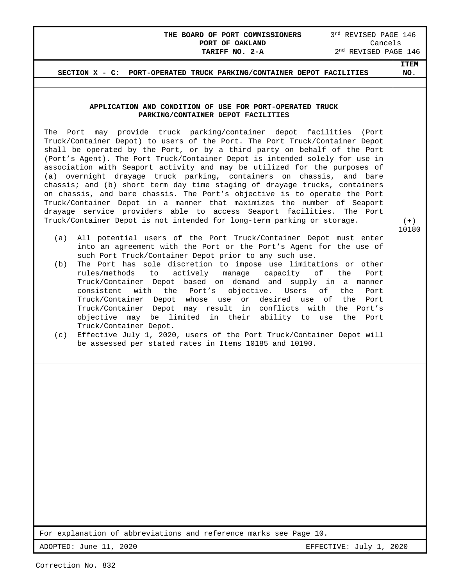# **THE BOARD OF PORT COMMISSIONERS** 3<sup>rd</sup> REVISED PAGE 146<br>**PORT OF OAKLAND** Cancels PORT OF OAKLAND<br>TARIFF NO. 2-A

2<sup>nd</sup> REVISED PAGE 146

| SECTION X - C: PORT-OPERATED TRUCK PARKING/CONTAINER DEPOT FACILITIES                                                                                                                                                                                                                                                                                                                                                                                                                                                                                                                                                                                                                                                                                                                                                                                                                                                                                                | ITEM<br>NO. |  |
|----------------------------------------------------------------------------------------------------------------------------------------------------------------------------------------------------------------------------------------------------------------------------------------------------------------------------------------------------------------------------------------------------------------------------------------------------------------------------------------------------------------------------------------------------------------------------------------------------------------------------------------------------------------------------------------------------------------------------------------------------------------------------------------------------------------------------------------------------------------------------------------------------------------------------------------------------------------------|-------------|--|
|                                                                                                                                                                                                                                                                                                                                                                                                                                                                                                                                                                                                                                                                                                                                                                                                                                                                                                                                                                      |             |  |
| APPLICATION AND CONDITION OF USE FOR PORT-OPERATED TRUCK<br>PARKING/CONTAINER DEPOT FACILITIES<br>may provide truck parking/container depot facilities<br>The Port<br>(Port<br>Truck/Container Depot) to users of the Port. The Port Truck/Container Depot<br>shall be operated by the Port, or by a third party on behalf of the Port<br>(Port's Agent). The Port Truck/Container Depot is intended solely for use in<br>association with Seaport activity and may be utilized for the purposes of<br>(a) overnight drayage truck parking, containers on chassis, and bare<br>chassis; and (b) short term day time staging of drayage trucks, containers<br>on chassis, and bare chassis. The Port's objective is to operate the Port<br>Truck/Container Depot in a manner that maximizes the number of Seaport<br>drayage service providers able to access Seaport facilities. The Port<br>Truck/Container Depot is not intended for long-term parking or storage. | $(+)$       |  |
| (a)<br>All potential users of the Port Truck/Container Depot must enter<br>into an agreement with the Port or the Port's Agent for the use of<br>such Port Truck/Container Depot prior to any such use.<br>The Port has sole discretion to impose use limitations or other<br>(b)<br>actively<br>rules/methods<br>to<br>manage<br>capacity<br>оf<br>the<br>Port<br>Truck/Container Depot based on demand and supply in a manner<br>consistent<br>with<br>the Port's<br>objective.<br>оf<br>Users<br>the<br>Port<br>Truck/Container Depot whose use or desired use of<br>the<br>Port<br>Truck/Container Depot<br>may result in conflicts with the Port's<br>objective may be limited in their ability to use<br>the<br>Port<br>Truck/Container Depot.<br>Effective July 1, 2020, users of the Port Truck/Container Depot will<br>(c)<br>be assessed per stated rates in Items 10185 and 10190.                                                                        | 10180       |  |
|                                                                                                                                                                                                                                                                                                                                                                                                                                                                                                                                                                                                                                                                                                                                                                                                                                                                                                                                                                      |             |  |
| For explanation of abbreviations and reference marks see Page 10.                                                                                                                                                                                                                                                                                                                                                                                                                                                                                                                                                                                                                                                                                                                                                                                                                                                                                                    |             |  |
| ADOPTED: June 11, 2020<br>EFFECTIVE: July 1, 2020                                                                                                                                                                                                                                                                                                                                                                                                                                                                                                                                                                                                                                                                                                                                                                                                                                                                                                                    |             |  |

L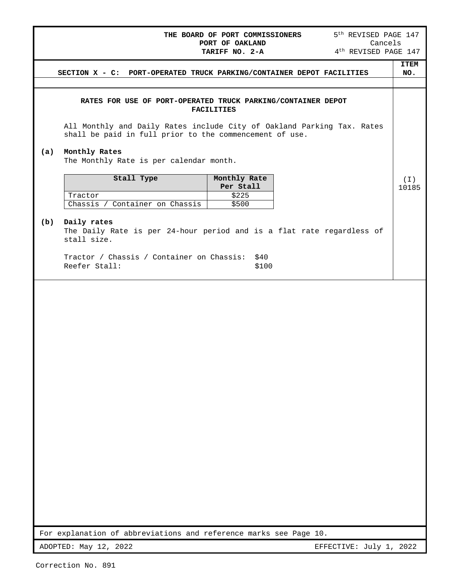#### **THE BOARD OF PORT COMMISSIONERS** 5<sup>th</sup> REVISED PAGE 147<br>PORT OF OAKLAND Cancels PORT OF OAKLAND Cancels

|     | TARIFF NO. 2-A<br>4 <sup>th</sup> REVISED PAGE 147                                                                                |                |
|-----|-----------------------------------------------------------------------------------------------------------------------------------|----------------|
|     |                                                                                                                                   | <b>ITEM</b>    |
|     | SECTION X - C: PORT-OPERATED TRUCK PARKING/CONTAINER DEPOT FACILITIES                                                             | NO.            |
|     |                                                                                                                                   |                |
|     |                                                                                                                                   |                |
|     | RATES FOR USE OF PORT-OPERATED TRUCK PARKING/CONTAINER DEPOT<br><b>FACILITIES</b>                                                 |                |
|     | All Monthly and Daily Rates include City of Oakland Parking Tax. Rates<br>shall be paid in full prior to the commencement of use. |                |
| (a) | Monthly Rates<br>The Monthly Rate is per calendar month.                                                                          |                |
|     | Stall Type<br>Monthly Rate<br>Per Stall<br>Tractor<br>\$225                                                                       | ( I )<br>10185 |
|     | Chassis / Container on Chassis<br>\$500                                                                                           |                |
| (b) | Daily rates<br>The Daily Rate is per 24-hour period and is a flat rate regardless of<br>stall size.                               |                |
|     | Tractor / Chassis / Container on Chassis:<br>\$40<br>Reefer Stall:<br>\$100                                                       |                |
|     |                                                                                                                                   |                |

For explanation of abbreviations and reference marks see Page 10.

ADOPTED: May 12, 2022 2003 2009 2009 2009 2010 2022 EFFECTIVE: July 1, 2022

L